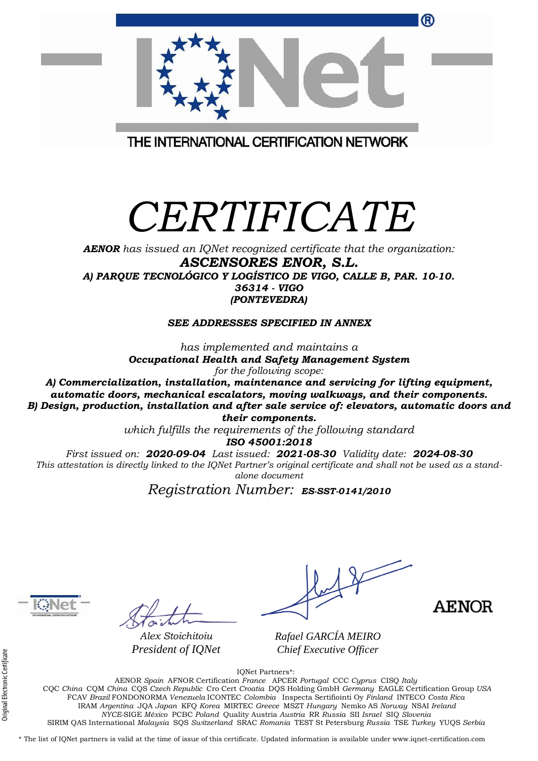| ®                                       |  |
|-----------------------------------------|--|
| THE INTERNATIONAL CERTIFICATION NETWORK |  |

## *CERTIFICATE*

*AENOR has issued an IQNet recognized certificate that the organization: ASCENSORES ENOR, S.L. A) PARQUE TECNOLÓGICO Y LOGÍSTICO DE VIGO, CALLE B, PAR. 10-10. 36314 - VIGO (PONTEVEDRA)*

*SEE ADDRESSES SPECIFIED IN ANNEX*

*has implemented and maintains a Occupational Health and Safety Management System for the following scope:* 

*A) Commercialization, installation, maintenance and servicing for lifting equipment, automatic doors, mechanical escalators, moving walkways, and their components. B) Design, production, installation and after sale service of: elevators, automatic doors and their components.*

*which fulfills the requirements of the following standard ISO 45001:2018*

*First issued on: 2020-09-04 Last issued: 2021-08-30 Validity date: 2024-08-30 This attestation is directly linked to the IQNet Partner's original certificate and shall not be used as a standalone document*

*Registration Number: ES-SST-0141/2010* **a**



*Alex Stoichitoiu President of IQNet*

**AENOR** 

*Rafael GARCÍA MEIRO Chief Executive Officer*

IQNet Partners\*:

AENOR *Spain* AFNOR Certification *France* APCER *Portugal* CCC *Cyprus* CISQ *Italy* CQC *China* CQM *China* CQS *Czech Republic* Cro Cert *Croatia* DQS Holding GmbH *Germany* EAGLE Certification Group *USA* FCAV *Brazil* FONDONORMA *Venezuela* ICONTEC *Colombia* Inspecta Sertifiointi Oy *Finland* INTECO *Costa Rica* IRAM *Argentina* JQA *Japan* KFQ *Korea* MIRTEC *Greece* MSZT *Hungary* Nemko AS *Norway* NSAI *Ireland NYCE-*SIGE *México* PCBC *Poland* Quality Austria *Austria* RR *Russia* SII *Israel* SIQ *Slovenia*  SIRIM QAS International *Malaysia* SQS *Switzerland* SRAC *Romania* TEST St Petersburg *Russia* TSE *Turkey* YUQS *Serbia*

\* The list of IQNet partners is valid at the time of issue of this certificate. Updated information is available under www.iqnet-certification.com